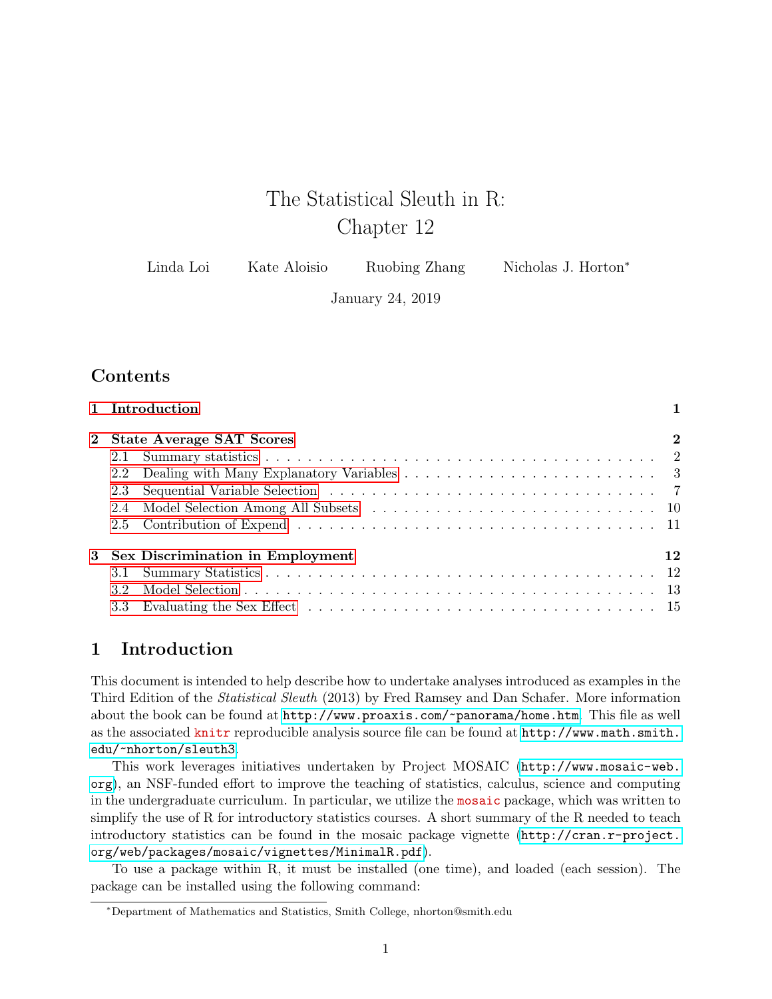# The Statistical Sleuth in R: Chapter 12

| Linda Loi | Kate Aloisio | Ruobing Zhang | Nicholas J. Horton <sup>*</sup> |
|-----------|--------------|---------------|---------------------------------|
|-----------|--------------|---------------|---------------------------------|

January 24, 2019

### **Contents**

|                  | 1 Introduction                     |             |
|------------------|------------------------------------|-------------|
|                  | 2 State Average SAT Scores         | $\mathbf 2$ |
|                  |                                    |             |
|                  |                                    |             |
|                  |                                    |             |
|                  |                                    |             |
|                  |                                    |             |
|                  | 3 Sex Discrimination in Employment | 12          |
|                  |                                    |             |
| 3.2 <sub>1</sub> |                                    |             |
|                  |                                    |             |

### <span id="page-0-0"></span>1 Introduction

This document is intended to help describe how to undertake analyses introduced as examples in the Third Edition of the Statistical Sleuth (2013) by Fred Ramsey and Dan Schafer. More information about the book can be found at <http://www.proaxis.com/~panorama/home.htm>. This file as well as the associated knitr reproducible analysis source file can be found at [http://www.math.smith.](http://www.math.smith.edu/~nhorton/sleuth3) [edu/~nhorton/sleuth3](http://www.math.smith.edu/~nhorton/sleuth3).

This work leverages initiatives undertaken by Project MOSAIC ([http://www.mosaic-web.](http://www.mosaic-web.org) [org](http://www.mosaic-web.org)), an NSF-funded effort to improve the teaching of statistics, calculus, science and computing in the undergraduate curriculum. In particular, we utilize the mosaic package, which was written to simplify the use of R for introductory statistics courses. A short summary of the R needed to teach introductory statistics can be found in the mosaic package vignette ([http://cran.r-project.](http://cran.r-project.org/web/packages/mosaic/vignettes/MinimalR.pdf) [org/web/packages/mosaic/vignettes/MinimalR.pdf](http://cran.r-project.org/web/packages/mosaic/vignettes/MinimalR.pdf)).

To use a package within R, it must be installed (one time), and loaded (each session). The package can be installed using the following command:

<sup>∗</sup>Department of Mathematics and Statistics, Smith College, nhorton@smith.edu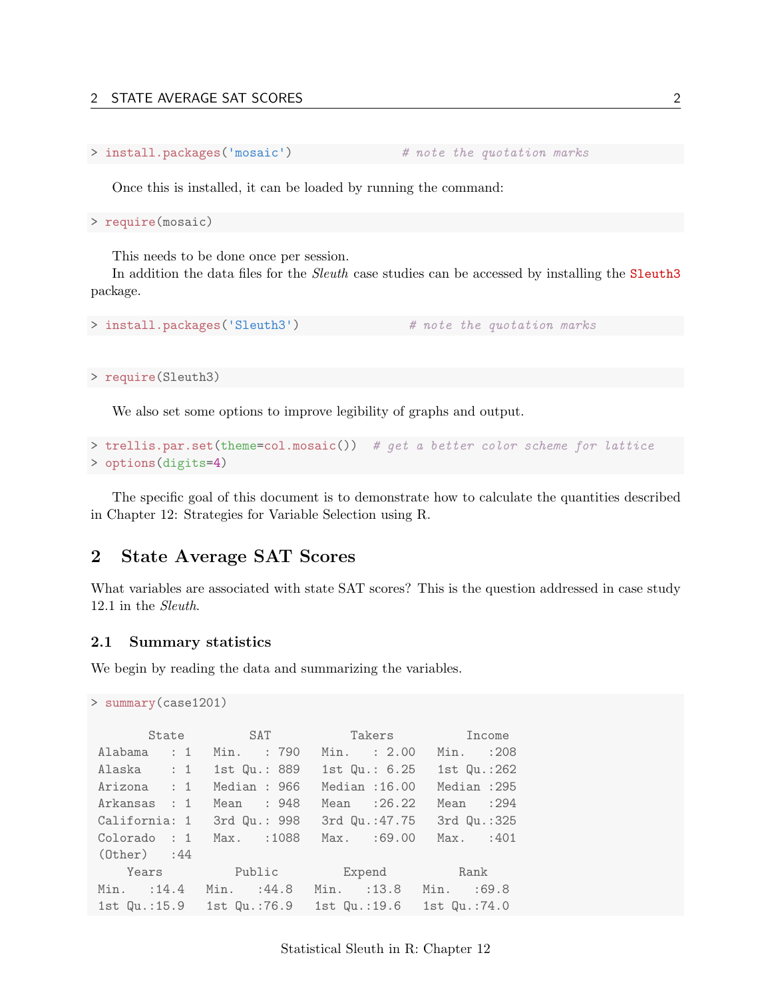```
> install.packages('mosaic') # note the quotation marks
```
Once this is installed, it can be loaded by running the command:

> require(mosaic)

This needs to be done once per session.

In addition the data files for the *Sleuth* case studies can be accessed by installing the Sleuth3 package.

```
> install.packages('Sleuth3') # note the quotation marks
```
> require(Sleuth3)

We also set some options to improve legibility of graphs and output.

```
> trellis.par.set(theme=col.mosaic()) # get a better color scheme for lattice
> options(digits=4)
```
The specific goal of this document is to demonstrate how to calculate the quantities described in Chapter 12: Strategies for Variable Selection using R.

### <span id="page-1-0"></span>2 State Average SAT Scores

What variables are associated with state SAT scores? This is the question addressed in case study 12.1 in the Sleuth.

#### <span id="page-1-1"></span>2.1 Summary statistics

> summary(case1201)

We begin by reading the data and summarizing the variables.

```
State SAT Takers Income
Alabama : 1 Min. : 790 Min. : 2.00 Min. :208
Alaska : 1 1st Qu.: 889 1st Qu.: 6.25 1st Qu.:262
Arizona : 1 Median : 966 Median :16.00 Median :295
Arkansas : 1 Mean : 948 Mean :26.22 Mean :294
California: 1 3rd Qu.: 998 3rd Qu.:47.75 3rd Qu.:325
Colorado : 1 Max. :1088 Max. :69.00 Max. :401
(Other) :44
   Years Public Expend Rank
Min. :14.4 Min. :44.8 Min. :13.8 Min. :69.8
1st Qu.:15.9 1st Qu.:76.9 1st Qu.:19.6 1st Qu.:74.0
```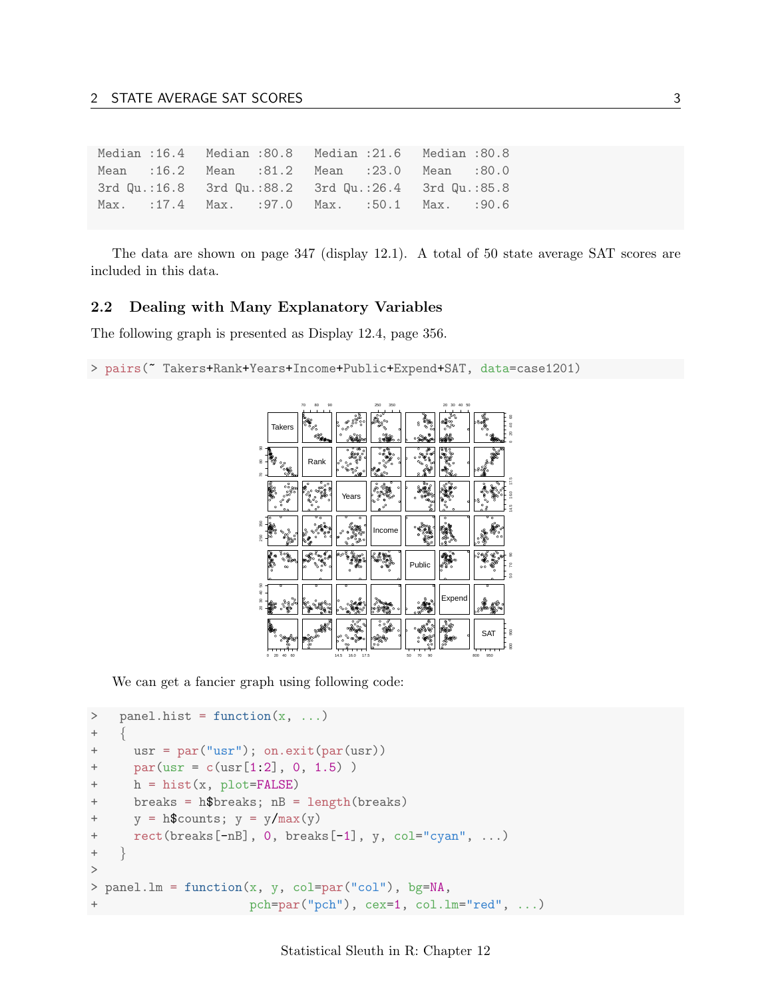Median: $16.4$ Median : 80.8 Median : 21.6 Median : 80.8 Mean : 16.2 Mean : 81.2 Mean : 23.0 Mean : 80.0 3rd Qu.:16.8 3rd Qu.:88.2 3rd Qu.: 26.4 3rd Qu.: 85.8 Max. : 17.4 Max. : 97.0 Max. :50.1 Max.  $: 90.6$ 

The data are shown on page 347 (display 12.1). A total of 50 state average SAT scores are included in this data.

#### <span id="page-2-0"></span> $2.2$ Dealing with Many Explanatory Variables

The following graph is presented as Display 12.4, page 356.

> pairs(" Takers+Rank+Years+Income+Public+Expend+SAT, data=case1201)



We can get a fancier graph using following code:

```
panel.hist = function(x, \ldots)\,>\ddot{}usr = par("usr"); on.exit(par(usr))^{+}par(usr = c(usr[1:2], 0, 1.5))\ddot{}\! + \!h = hist(x, plot = FALSE)breaks = h$breaks; nB = length(breaks)\! + \!y = h$counts; y = y / max(y)^{+}\ddot{}rect(breaks[-nB], 0, breaks[-1], y, col="cyan", ...)\ddot{}\left\{ \right.\,>> panel.lm = function(x, y, col=par("col"), bg=NA,
                          pch = par("pch"), cex=1, col.lm='red", ...^{+}
```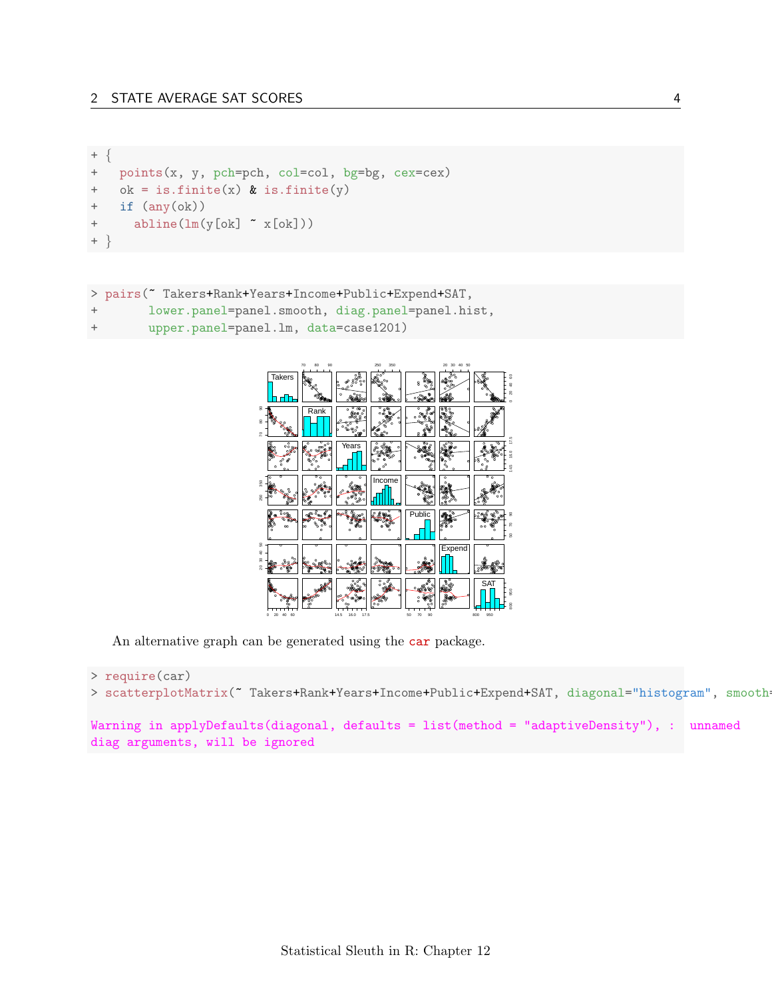```
^+^{+}points(x, y, pch=pch, col=col, bg=bg, cex=cex)ok = is.finite(x) & is.finite(y)\ddot{}\qquad \qquad +if (\text{any}(\text{ok}))\boldsymbol{+}abline(lm(y[ok] " x[ok]))+ }
```

```
> pairs("Takers+Rank+Years+Income+Public+Expend+SAT,
\, +lower.panel=panel.smooth, diag.panel=panel.hist,
        upper.panel=panel.lm, data=case1201)
+
```


An alternative graph can be generated using the car package.

```
> require(car)
> scatterplotMatrix(" Takers+Rank+Years+Income+Public+Expend+SAT, diagonal="histogram", smooth-
Warning in applyDefaults(diagonal, defaults = list(method = "adaptiveDensity"), : unnamed
diag arguments, will be ignored
```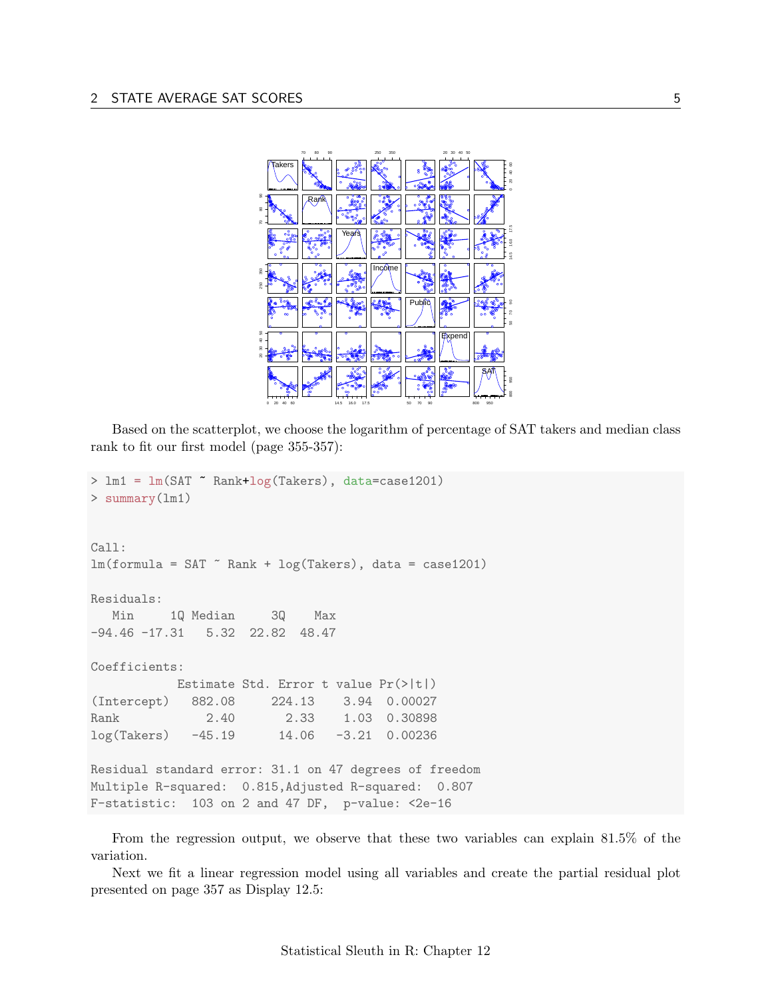

Based on the scatterplot, we choose the logarithm of percentage of SAT takers and median class rank to fit our first model (page 355-357):

```
> lm1 = lm(SAT ~ Rank+log(Takers), data=case1201)
> summary(lm1)Call:
lm(formula = SAT "Rank + log(Takers), data = case1201)Residuals:
  Min
         1Q Median
                        3Q
                              Max
-94.46 -17.31 5.32 22.82 48.47
Coefficients:
           Estimate Std. Error t value Pr(>|t|)
             882.08
                        224.13
                                  3.94 0.00027
(Intercept)
               2.40
                          2.33
                                  1.03 0.30898
Rank
                         14.06
                                 -3.21 0.00236
log(Takers)-45.19Residual standard error: 31.1 on 47 degrees of freedom
Multiple R-squared: 0.815, Adjusted R-squared: 0.807
F-statistic: 103 on 2 and 47 DF, p-value: <2e-16
```
From the regression output, we observe that these two variables can explain 81.5% of the variation.

Next we fit a linear regression model using all variables and create the partial residual plot presented on page 357 as Display 12.5: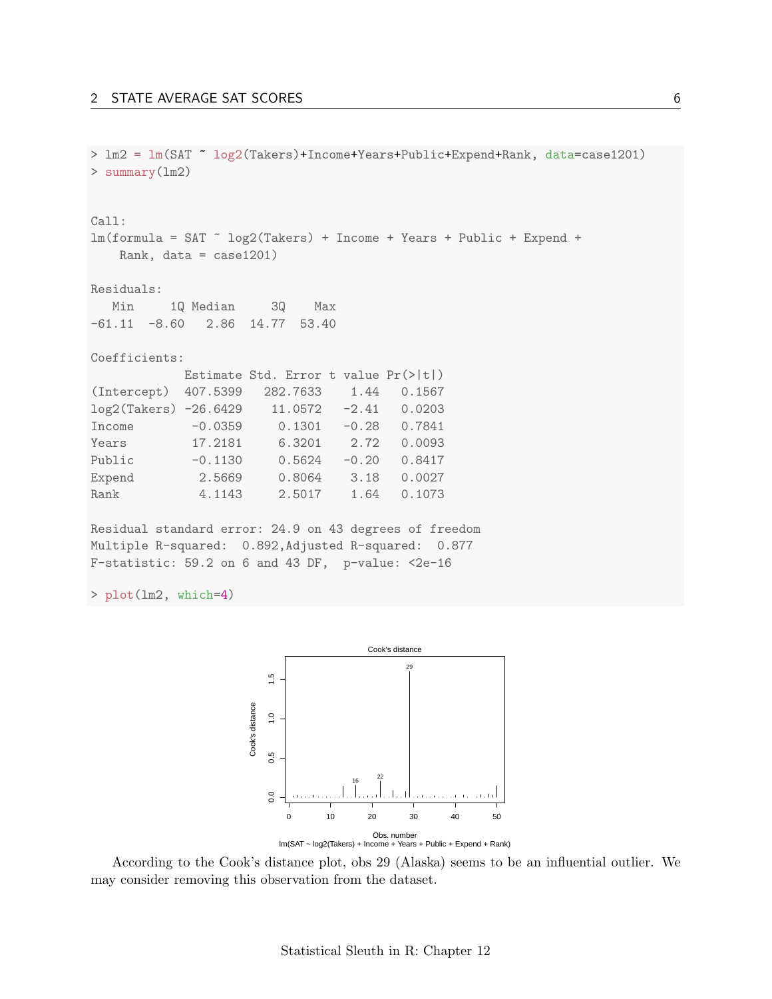> lm2 = lm(SAT ~ log2(Takers)+Income+Years+Public+Expend+Rank, data=case1201) > summary(lm2) Call:  $lm(formula = SAT " log2(Takers) + Income + Years + Public + Expand +$ Rank, data = case1201) Residuals: Min 1Q Median 3Q Max -61.11 -8.60 2.86 14.77 53.40 Coefficients: Estimate Std. Error t value Pr(>|t|) (Intercept) 407.5399 282.7633 1.44 0.1567 log2(Takers) -26.6429 11.0572 -2.41 0.0203 Income -0.0359 0.1301 -0.28 0.7841 Years 17.2181 6.3201 2.72 0.0093 Public -0.1130 0.5624 -0.20 0.8417 Expend 2.5669 0.8064 3.18 0.0027 Rank 4.1143 2.5017 1.64 0.1073 Residual standard error: 24.9 on 43 degrees of freedom

Multiple R-squared: 0.892,Adjusted R-squared: 0.877 F-statistic: 59.2 on 6 and 43 DF, p-value: <2e-16

> plot(lm2, which=4)



According to the Cook's distance plot, obs 29 (Alaska) seems to be an influential outlier. We may consider removing this observation from the dataset.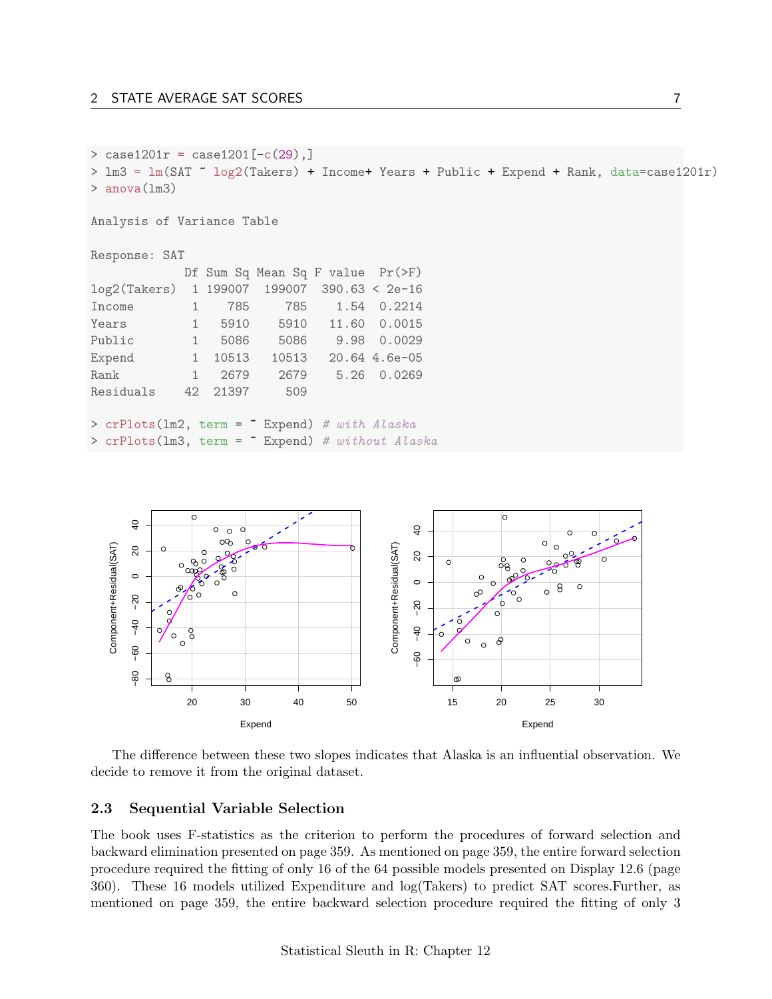```
> case1201r = case1201[-c(29),]
> lm3 = lm(SAT ~ log2(Takers) + Income+ Years + Public + Expend + Rank, data=case1201r)
> anova(lm3)
Analysis of Variance Table
Response: SAT
           Df Sum Sq Mean Sq F value Pr(>F)
log2(Takers) 1 199007 199007 390.63 < 2e-16
Income 1 785 785 1.54 0.2214
Years 1 5910 5910 11.60 0.0015
Public 1 5086 5086 9.98 0.0029
Expend 1 10513 10513 20.64 4.6e-05
Rank 1 2679 2679 5.26 0.0269
Residuals 42 21397 509
> crPlots(1m2, term = " Expend) # with Alaska
> crPlots(lm3, term = ~ Expend) # without Alaska
```


The difference between these two slopes indicates that Alaska is an influential observation. We decide to remove it from the original dataset.

### <span id="page-6-0"></span>2.3 Sequential Variable Selection

The book uses F-statistics as the criterion to perform the procedures of forward selection and backward elimination presented on page 359. As mentioned on page 359, the entire forward selection procedure required the fitting of only 16 of the 64 possible models presented on Display 12.6 (page 360). These 16 models utilized Expenditure and log(Takers) to predict SAT scores.Further, as mentioned on page 359, the entire backward selection procedure required the fitting of only 3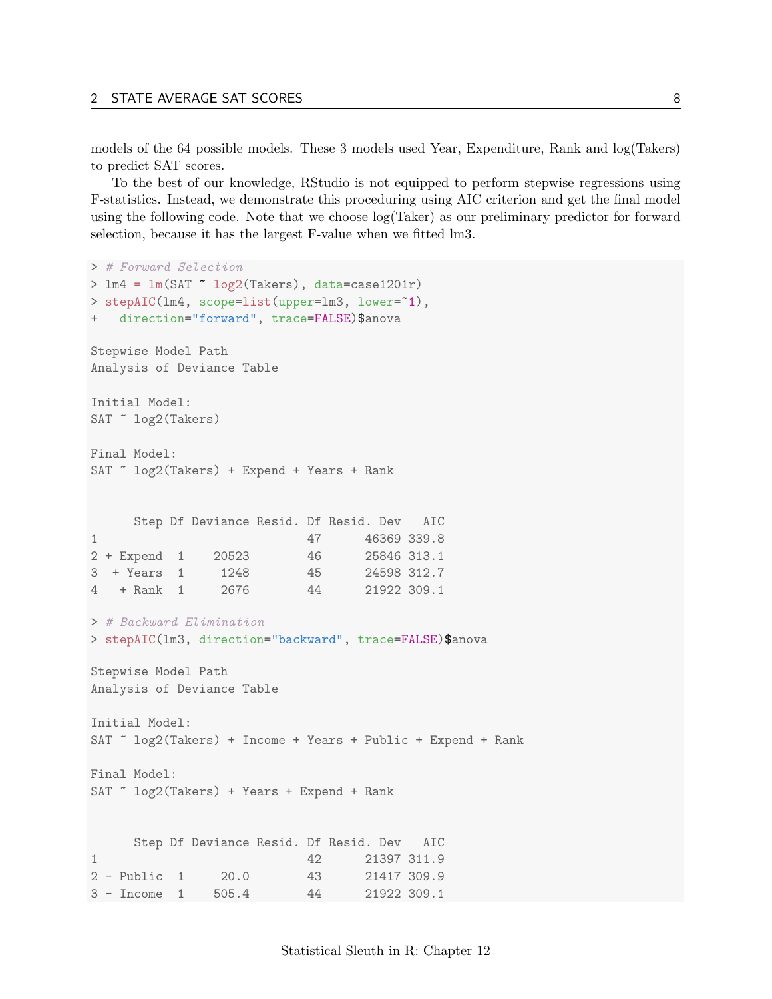models of the 64 possible models. These 3 models used Year, Expenditure, Rank and log(Takers) to predict SAT scores.

To the best of our knowledge, RStudio is not equipped to perform stepwise regressions using F-statistics. Instead, we demonstrate this proceduring using AIC criterion and get the final model using the following code. Note that we choose log(Taker) as our preliminary predictor for forward selection, because it has the largest F-value when we fitted lm3.

```
> # Forward Selection
> lm4 = lm(SAT ~ log2(Takers), data=case1201r)
> stepAIC(lm4, scope=list(upper=lm3, lower=~1),
   direction="forward", trace=FALSE)$anova
Stepwise Model Path
Analysis of Deviance Table
Initial Model:
SAT ~ log2(Takers)
Final Model:
SAT \sim log2(Takers) + Expend + Years + Rank
     Step Df Deviance Resid. Df Resid. Dev AIC
1 47 46369 339.8
2 + Expend 1 20523 46 25846 313.1
3 + Years 1 1248 45 24598 312.7
4 + Rank 1 2676 44 21922 309.1
> # Backward Elimination
> stepAIC(lm3, direction="backward", trace=FALSE)$anova
Stepwise Model Path
Analysis of Deviance Table
Initial Model:
SAT ~ log2(Takers) + Income + Years + Public + Expend + Rank
Final Model:
SAT \sim log2(Takers) + Years + Expend + Rank
     Step Df Deviance Resid. Df Resid. Dev AIC
1 42 21397 311.9
2 - Public 1 20.0 43 21417 309.9
3 - Income 1 505.4 44 21922 309.1
```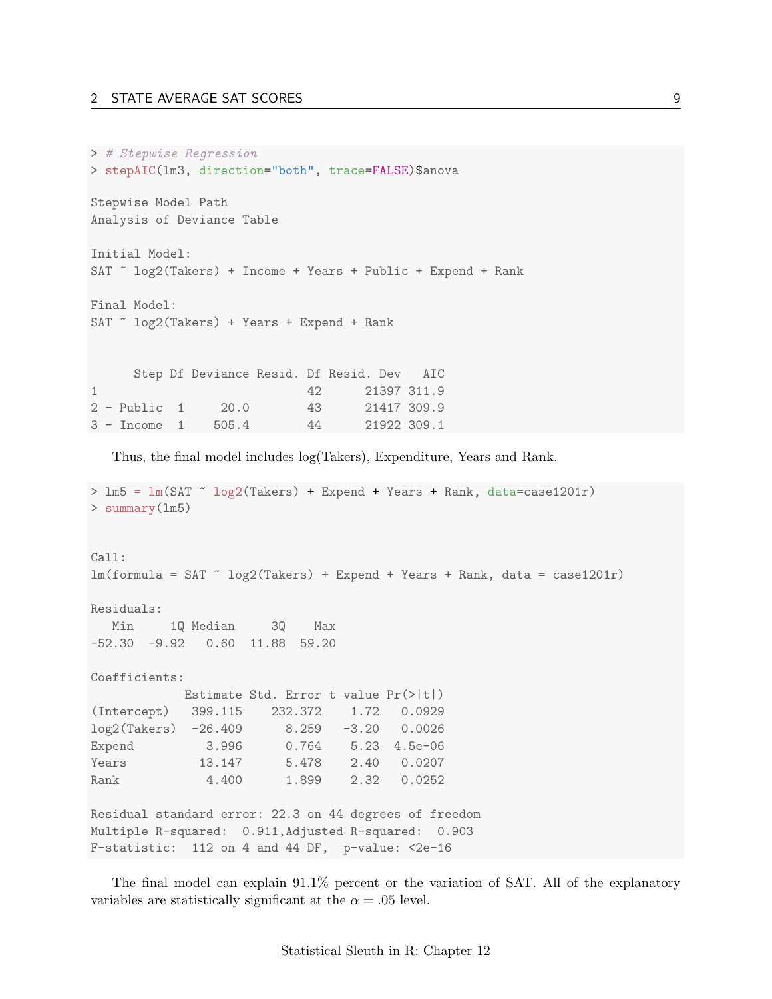#### 2 STATE AVERAGE SAT SCORES 9

```
> # Stepwise Regression
> stepAIC(lm3, direction="both", trace=FALSE)$anova
Stepwise Model Path
Analysis of Deviance Table
Initial Model:
SAT ~ log2(Takers) + Income + Years + Public + Expend + Rank
Final Model:
SAT \sim log2(Takers) + Years + Expend + Rank
     Step Df Deviance Resid. Df Resid. Dev AIC
1 42 21397 311.9
2 - Public 1 20.0 43 21417 309.9
3 - Income 1 505.4 44 21922 309.1
```
Thus, the final model includes log(Takers), Expenditure, Years and Rank.

```
> lm5 = lm(SAT ~ log2(Takers) + Expend + Years + Rank, data=case1201r)
> summary(lm5)
Call:
lm(formula = SAT^ \circ log2(Takers) + Expand + Years + Rank, data = case1201r)Residuals:
  Min 1Q Median 3Q Max
-52.30 -9.92 0.60 11.88 59.20
Coefficients:
           Estimate Std. Error t value Pr(>|t|)
(Intercept) 399.115 232.372 1.72 0.0929
log2(Takers) -26.409 8.259 -3.20 0.0026
Expend 3.996 0.764 5.23 4.5e-06<br>Years 13.147 5.478 2.40 0.0207
Years 13.147 5.478 2.40 0.0207
Rank 4.400 1.899 2.32 0.0252
Residual standard error: 22.3 on 44 degrees of freedom
Multiple R-squared: 0.911,Adjusted R-squared: 0.903
F-statistic: 112 on 4 and 44 DF, p-value: <2e-16
```
The final model can explain 91.1% percent or the variation of SAT. All of the explanatory variables are statistically significant at the  $\alpha = .05$  level.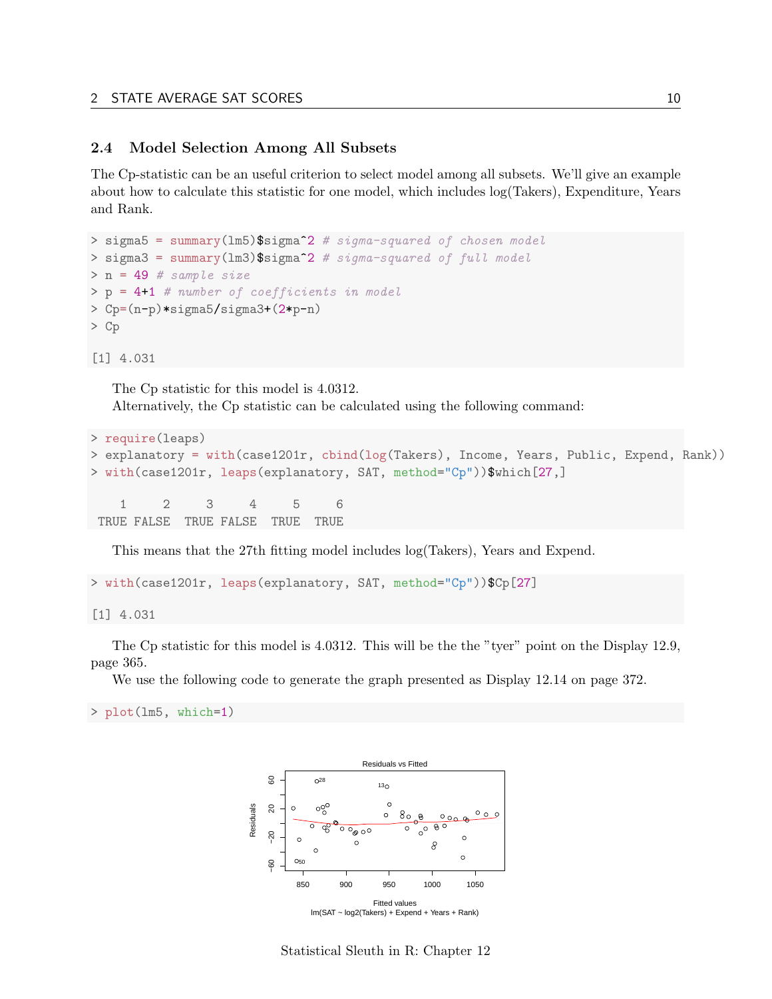#### <span id="page-9-0"></span>2.4 Model Selection Among All Subsets

The Cp-statistic can be an useful criterion to select model among all subsets. We'll give an example about how to calculate this statistic for one model, which includes log(Takers), Expenditure, Years and Rank.

```
> sigma5 = summary(1m5)$sigma<sup>2</sup> # sigma-squared of chosen model
> sigma3 = summary(1m3)$sigma^2 # sigma-squared of full model
> n = 49 # sample size
> p = 4+1 # number of coefficients in model
> Cp=(n-p)*sigma5/sigma3+(2*p-n)
> Cp
```
[1] 4.031

The Cp statistic for this model is 4.0312. Alternatively, the Cp statistic can be calculated using the following command:

```
> require(leaps)
> explanatory = with(case1201r, cbind(log(Takers), Income, Years, Public, Expend, Rank))
> with(case1201r, leaps(explanatory, SAT, method="Cp"))$which[27,]
   1 2 3 4 5 6
TRUE FALSE TRUE FALSE TRUE TRUE
```
This means that the 27th fitting model includes log(Takers), Years and Expend.

```
> with(case1201r, leaps(explanatory, SAT, method="Cp"))$Cp[27]
```

```
[1] 4.031
```
The Cp statistic for this model is 4.0312. This will be the "tyer" point on the Display 12.9, page 365.

We use the following code to generate the graph presented as Display 12.14 on page 372.

> plot(lm5, which=1)



Statistical Sleuth in R: Chapter 12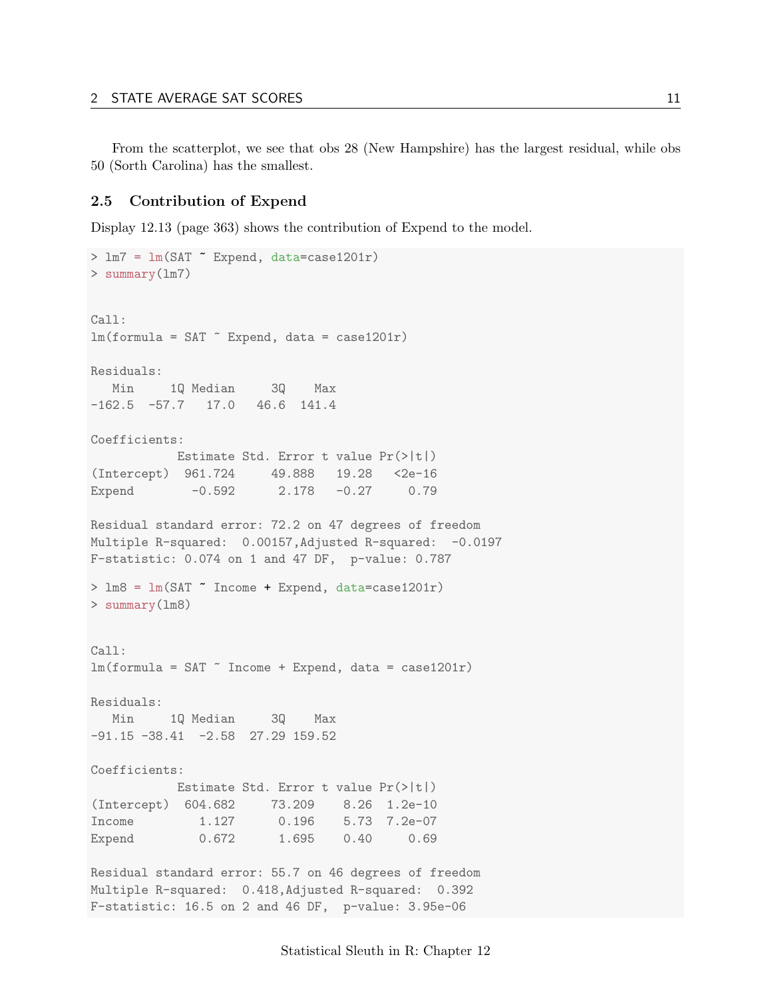From the scatterplot, we see that obs 28 (New Hampshire) has the largest residual, while obs 50 (Sorth Carolina) has the smallest.

#### <span id="page-10-0"></span>2.5 Contribution of Expend

Display 12.13 (page 363) shows the contribution of Expend to the model.

```
> lm7 = lm(SAT ~ Expend, data=case1201r)
> summary(lm7)
Call:
lm(formula = SAT \sim Expand, data = case1201r)Residuals:
  Min 1Q Median 3Q Max
-162.5 -57.7 17.0 46.6 141.4
Coefficients:
         Estimate Std. Error t value Pr(>|t|)
(Intercept) 961.724 49.888 19.28 <2e-16
Expend -0.592 2.178 -0.27 0.79
Residual standard error: 72.2 on 47 degrees of freedom
Multiple R-squared: 0.00157, Adjusted R-squared: -0.0197
F-statistic: 0.074 on 1 and 47 DF, p-value: 0.787
> lm8 = lm(SAT ~ Income + Expend, data=case1201r)
> summary(lm8)
Call:
lm(formula = SAT " Income + Expand, data = case1201r)Residuals:
  Min 1Q Median 3Q Max
-91.15 -38.41 -2.58 27.29 159.52Coefficients:
         Estimate Std. Error t value Pr(>|t|)
(Intercept) 604.682 73.209 8.26 1.2e-10
Income 1.127 0.196 5.73 7.2e-07
Expend 0.672 1.695 0.40 0.69
Residual standard error: 55.7 on 46 degrees of freedom
Multiple R-squared: 0.418,Adjusted R-squared: 0.392
```
F-statistic: 16.5 on 2 and 46 DF, p-value: 3.95e-06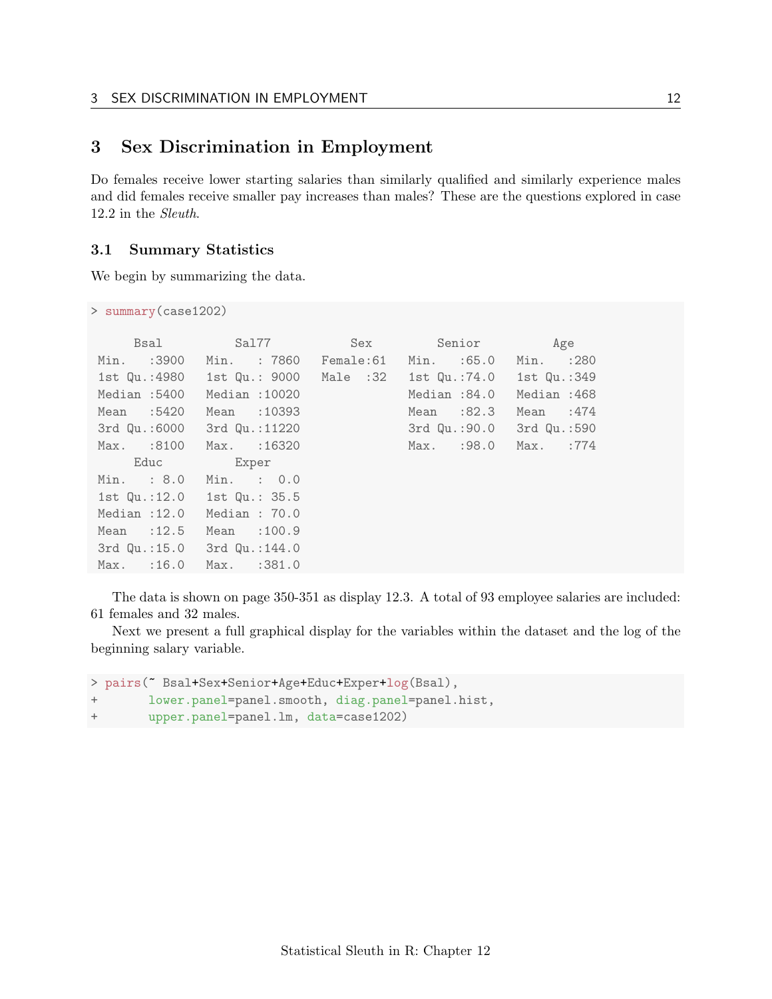## <span id="page-11-0"></span>3 Sex Discrimination in Employment

Do females receive lower starting salaries than similarly qualified and similarly experience males and did females receive smaller pay increases than males? These are the questions explored in case 12.2 in the Sleuth.

#### <span id="page-11-1"></span>3.1 Summary Statistics

We begin by summarizing the data.

> summary(case1202)

| <b>Bsal</b>                | Sal77 in the Sal                                                     | Sex | Senior               | Age         |
|----------------------------|----------------------------------------------------------------------|-----|----------------------|-------------|
| Min. :3900                 | Min. : 7860                                                          |     | Female:61 Min. :65.0 | Min. : 280  |
|                            | 1st Qu.:4980   1st Qu.: 9000   Male :32   1st Qu.:74.0   1st Qu.:349 |     |                      |             |
| Median: 5400               | Median : 10020                                                       |     | Median :84.0         | Median:468  |
| Mean :5420                 | Mean : 10393                                                         |     | Mean :82.3           | Mean $:474$ |
|                            | 3rd Qu.:6000 3rd Qu.:11220                                           |     | 3rd Qu.:90.0         | 3rd Qu.:590 |
| Max. :8100                 | Max. : 16320                                                         |     | Max. :98.0           | Max. :774   |
|                            | Educ Exper                                                           |     |                      |             |
| Min. : 8.0                 | $Min.$ : $0.0$                                                       |     |                      |             |
| 1st Qu.:12.0 1st Qu.: 35.5 |                                                                      |     |                      |             |
| Median $:12.0$             | Median : 70.0                                                        |     |                      |             |
| Mean $:12.5$               | Mean $:100.9$                                                        |     |                      |             |
| 3rd Qu.:15.0 3rd Qu.:144.0 |                                                                      |     |                      |             |
| $Max.$ :16.0               | Max. : 381.0                                                         |     |                      |             |

The data is shown on page 350-351 as display 12.3. A total of 93 employee salaries are included: 61 females and 32 males.

Next we present a full graphical display for the variables within the dataset and the log of the beginning salary variable.

```
> pairs(~ Bsal+Sex+Senior+Age+Educ+Exper+log(Bsal),
+ lower.panel=panel.smooth, diag.panel=panel.hist,
+ upper.panel=panel.lm, data=case1202)
```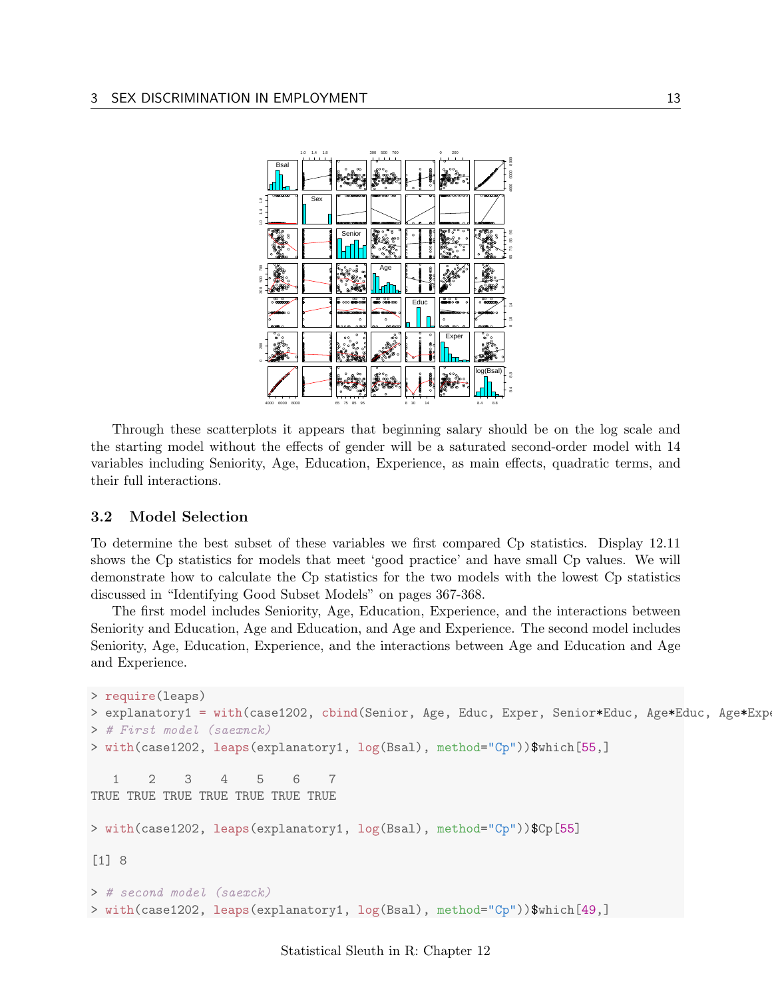

Through these scatterplots it appears that beginning salary should be on the log scale and the starting model without the effects of gender will be a saturated second-order model with 14 variables including Seniority, Age, Education, Experience, as main effects, quadratic terms, and their full interactions.

#### <span id="page-12-0"></span>3.2 Model Selection

To determine the best subset of these variables we first compared Cp statistics. Display 12.11 shows the Cp statistics for models that meet 'good practice' and have small Cp values. We will demonstrate how to calculate the Cp statistics for the two models with the lowest Cp statistics discussed in "Identifying Good Subset Models" on pages 367-368.

The first model includes Seniority, Age, Education, Experience, and the interactions between Seniority and Education, Age and Education, and Age and Experience. The second model includes Seniority, Age, Education, Experience, and the interactions between Age and Education and Age and Experience.

```
> require(leaps)
> explanatory1 = with(case1202, cbind(Senior, Age, Educ, Exper, Senior*Educ, Age*Educ, Age*Exp
> # First model (saexnck)
> with(case1202, leaps(explanatory1, log(Bsal), method="Cp"))$which[55,]
   1 2 3 4 5 6 7
TRUE TRUE TRUE TRUE TRUE TRUE TRUE
> with(case1202, leaps(explanatory1, log(Bsal), method="Cp"))$Cp[55]
[1] 8
> # second model (saexck)
> with(case1202, leaps(explanatory1, log(Bsal), method="Cp"))$which[49,]
```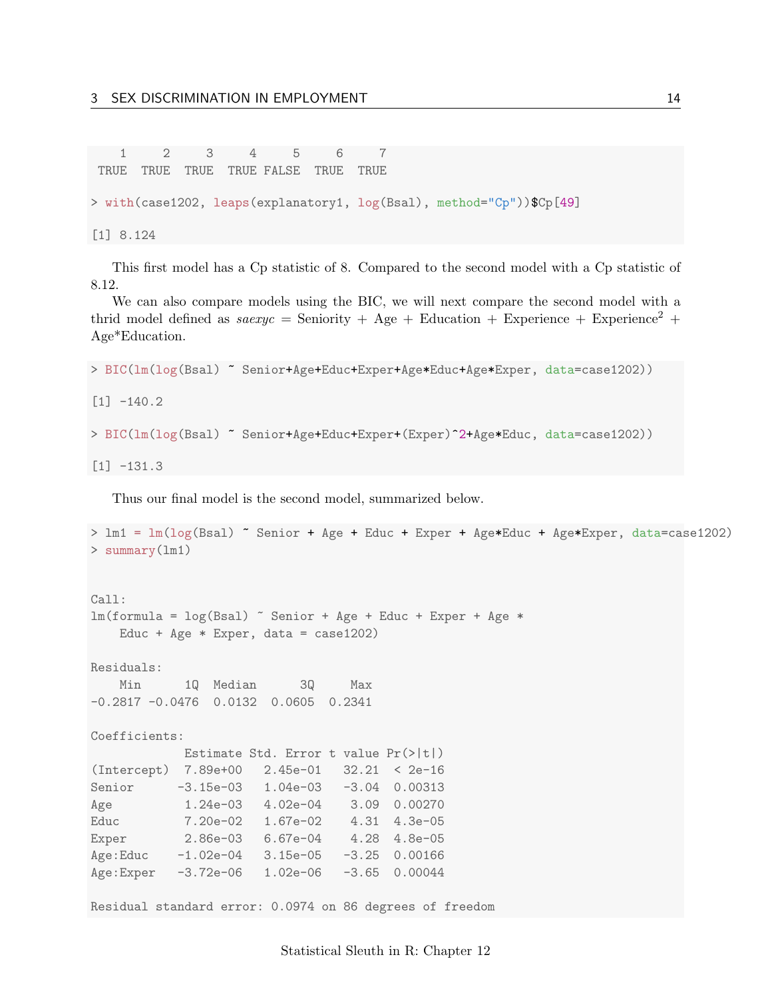1 2 3 4 5 6 7 TRUE TRUE TRUE TRUE FALSE TRUE TRUE > with(case1202, leaps(explanatory1, log(Bsal), method="Cp"))\$Cp[49] [1] 8.124

This first model has a Cp statistic of 8. Compared to the second model with a Cp statistic of 8.12.

We can also compare models using the BIC, we will next compare the second model with a thrid model defined as  $sasexyc =$  Seniority + Age + Education + Experience + Experience<sup>2</sup> + Age\*Education.

```
> BIC(lm(log(Bsal) ~ Senior+Age+Educ+Exper+Age*Educ+Age*Exper, data=case1202))
```
 $[1] -140.2$ 

```
> BIC(lm(log(Bsal) ~ Senior+Age+Educ+Exper+(Exper)^2+Age*Educ, data=case1202))
```

```
[1] -131.3
```
Thus our final model is the second model, summarized below.

```
> lm1 = lm(log(Bsal) ~ Senior + Age + Educ + Exper + Age*Educ + Age*Exper, data=case1202)
> summary(lm1)
Call:
lm(formula = log(Bsal) \tilde{ }</math> Senior + Age + Educ + Expert + Age *Educ + Age * Exper, data = case1202)
Residuals:
   Min 1Q Median 3Q Max
-0.2817 -0.0476 0.0132 0.0605 0.2341
Coefficients:
           Estimate Std. Error t value Pr(>|t|)
(Intercept) 7.89e+00 2.45e-01 32.21 < 2e-16
Senior -3.15e-03 1.04e-03 -3.04 0.00313
Age 1.24e-03 4.02e-04 3.09 0.00270
Educ 7.20e-02 1.67e-02 4.31 4.3e-05
Exper 2.86e-03 6.67e-04 4.28 4.8e-05
Age:Educ -1.02e-04 3.15e-05 -3.25 0.00166
Age:Exper -3.72e-06 1.02e-06 -3.65 0.00044
Residual standard error: 0.0974 on 86 degrees of freedom
```